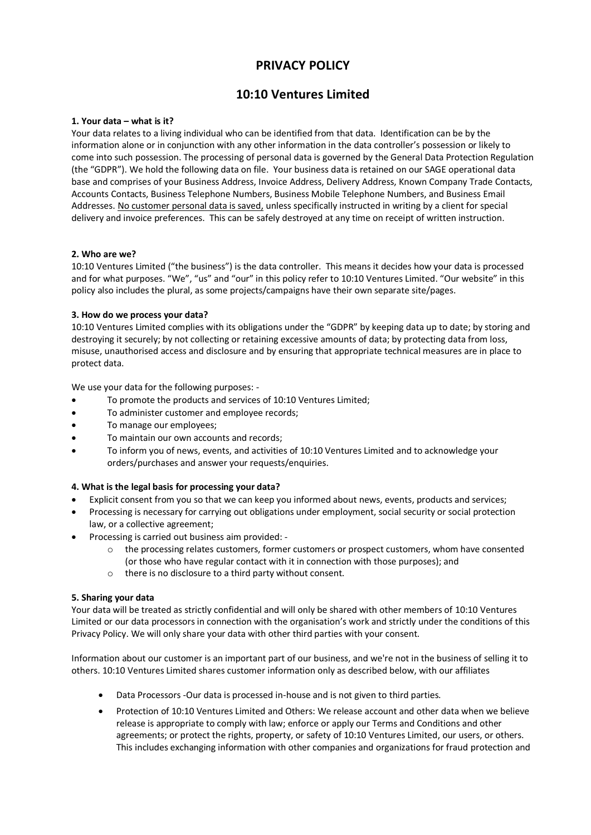# **PRIVACY POLICY**

# **10:10 Ventures Limited**

#### **1. Your data – what is it?**

Your data relates to a living individual who can be identified from that data. Identification can be by the information alone or in conjunction with any other information in the data controller's possession or likely to come into such possession. The processing of personal data is governed by the General Data Protection Regulation (the "GDPR"). We hold the following data on file. Your business data is retained on our SAGE operational data base and comprises of your Business Address, Invoice Address, Delivery Address, Known Company Trade Contacts, Accounts Contacts, Business Telephone Numbers, Business Mobile Telephone Numbers, and Business Email Addresses. No customer personal data is saved, unless specifically instructed in writing by a client for special delivery and invoice preferences. This can be safely destroyed at any time on receipt of written instruction.

#### **2. Who are we?**

10:10 Ventures Limited ("the business") is the data controller. This means it decides how your data is processed and for what purposes. "We", "us" and "our" in this policy refer to 10:10 Ventures Limited. "Our website" in this policy also includes the plural, as some projects/campaigns have their own separate site/pages.

#### **3. How do we process your data?**

10:10 Ventures Limited complies with its obligations under the "GDPR" by keeping data up to date; by storing and destroying it securely; by not collecting or retaining excessive amounts of data; by protecting data from loss, misuse, unauthorised access and disclosure and by ensuring that appropriate technical measures are in place to protect data.

We use your data for the following purposes: -

- To promote the products and services of 10:10 Ventures Limited;
- To administer customer and employee records;
- To manage our employees;
- To maintain our own accounts and records;
- To inform you of news, events, and activities of 10:10 Ventures Limited and to acknowledge your orders/purchases and answer your requests/enquiries.

#### **4. What is the legal basis for processing your data?**

- Explicit consent from you so that we can keep you informed about news, events, products and services;
- Processing is necessary for carrying out obligations under employment, social security or social protection law, or a collective agreement;
- Processing is carried out business aim provided:
	- $\circ$  the processing relates customers, former customers or prospect customers, whom have consented (or those who have regular contact with it in connection with those purposes); and
	- o there is no disclosure to a third party without consent.

#### **5. Sharing your data**

Your data will be treated as strictly confidential and will only be shared with other members of 10:10 Ventures Limited or our data processors in connection with the organisation's work and strictly under the conditions of this Privacy Policy. We will only share your data with other third parties with your consent.

Information about our customer is an important part of our business, and we're not in the business of selling it to others. 10:10 Ventures Limited shares customer information only as described below, with our affiliates

- Data Processors -Our data is processed in-house and is not given to third parties.
- Protection of 10:10 Ventures Limited and Others: We release account and other data when we believe release is appropriate to comply with law; enforce or apply our Terms and Conditions and other agreements; or protect the rights, property, or safety of 10:10 Ventures Limited, our users, or others. This includes exchanging information with other companies and organizations for fraud protection and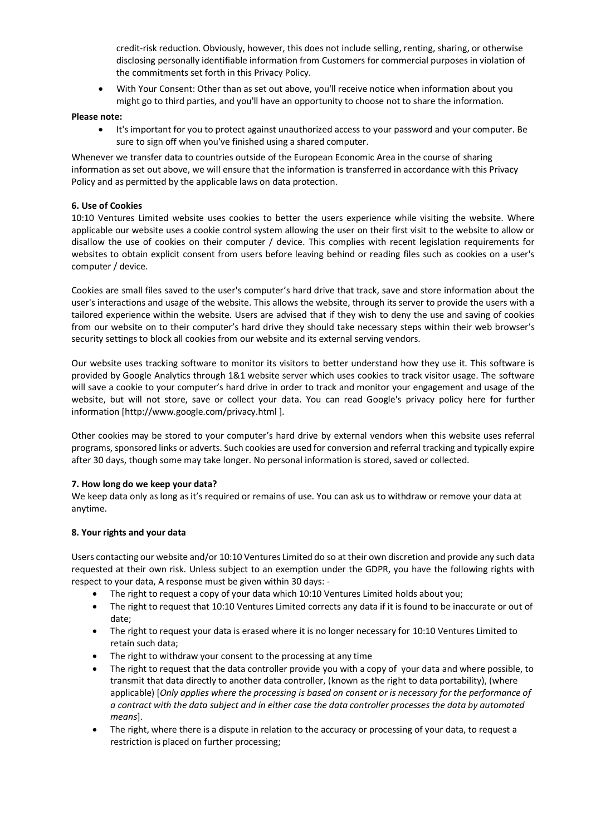credit-risk reduction. Obviously, however, this does not include selling, renting, sharing, or otherwise disclosing personally identifiable information from Customers for commercial purposes in violation of the commitments set forth in this Privacy Policy.

• With Your Consent: Other than as set out above, you'll receive notice when information about you might go to third parties, and you'll have an opportunity to choose not to share the information.

### **Please note:**

It's important for you to protect against unauthorized access to your password and your computer. Be sure to sign off when you've finished using a shared computer.

Whenever we transfer data to countries outside of the European Economic Area in the course of sharing information as set out above, we will ensure that the information is transferred in accordance with this Privacy Policy and as permitted by the applicable laws on data protection.

## **6. Use of Cookies**

10:10 Ventures Limited website uses cookies to better the users experience while visiting the website. Where applicable our website uses a cookie control system allowing the user on their first visit to the website to allow or disallow the use of cookies on their computer / device. This complies with recent legislation requirements for websites to obtain explicit consent from users before leaving behind or reading files such as cookies on a user's computer / device.

Cookies are small files saved to the user's computer's hard drive that track, save and store information about the user's interactions and usage of the website. This allows the website, through its server to provide the users with a tailored experience within the website. Users are advised that if they wish to deny the use and saving of cookies from our website on to their computer's hard drive they should take necessary steps within their web browser's security settings to block all cookies from our website and its external serving vendors.

Our website uses tracking software to monitor its visitors to better understand how they use it. This software is provided by Google Analytics through 1&1 website server which uses cookies to track visitor usage. The software will save a cookie to your computer's hard drive in order to track and monitor your engagement and usage of the website, but will not store, save or collect your data. You can read Google's privacy policy here for further information [http://www.google.com/privacy.html ].

Other cookies may be stored to your computer's hard drive by external vendors when this website uses referral programs, sponsored links or adverts. Such cookies are used for conversion and referral tracking and typically expire after 30 days, though some may take longer. No personal information is stored, saved or collected.

#### **7. How long do we keep your data?**

We keep data only as long as it's required or remains of use. You can ask us to withdraw or remove your data at anytime.

#### **8. Your rights and your data**

Users contacting our website and/or 10:10 Ventures Limited do so at their own discretion and provide any such data requested at their own risk. Unless subject to an exemption under the GDPR, you have the following rights with respect to your data, A response must be given within 30 days: -

- The right to request a copy of your data which 10:10 Ventures Limited holds about you;
- The right to request that 10:10 Ventures Limited corrects any data if it is found to be inaccurate or out of date;
- The right to request your data is erased where it is no longer necessary for 10:10 Ventures Limited to retain such data;
- The right to withdraw your consent to the processing at any time
- The right to request that the data controller provide you with a copy of your data and where possible, to transmit that data directly to another data controller, (known as the right to data portability), (where applicable) [*Only applies where the processing is based on consent or is necessary for the performance of a contract with the data subject and in either case the data controller processes the data by automated means*].
- The right, where there is a dispute in relation to the accuracy or processing of your data, to request a restriction is placed on further processing;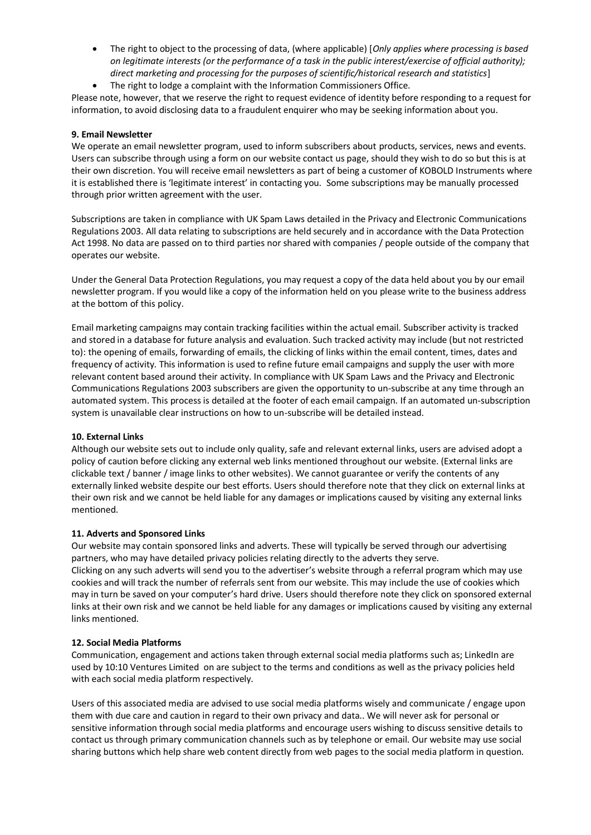- The right to object to the processing of data, (where applicable) [*Only applies where processing is based on legitimate interests (or the performance of a task in the public interest/exercise of official authority); direct marketing and processing for the purposes of scientific/historical research and statistics*]
- The right to lodge a complaint with the Information Commissioners Office.

Please note, however, that we reserve the right to request evidence of identity before responding to a request for information, to avoid disclosing data to a fraudulent enquirer who may be seeking information about you.

#### **9. Email Newsletter**

We operate an email newsletter program, used to inform subscribers about products, services, news and events. Users can subscribe through using a form on our website contact us page, should they wish to do so but this is at their own discretion. You will receive email newsletters as part of being a customer of KOBOLD Instruments where it is established there is 'legitimate interest' in contacting you. Some subscriptions may be manually processed through prior written agreement with the user.

Subscriptions are taken in compliance with UK Spam Laws detailed in the Privacy and Electronic Communications Regulations 2003. All data relating to subscriptions are held securely and in accordance with the Data Protection Act 1998. No data are passed on to third parties nor shared with companies / people outside of the company that operates our website.

Under the General Data Protection Regulations, you may request a copy of the data held about you by our email newsletter program. If you would like a copy of the information held on you please write to the business address at the bottom of this policy.

Email marketing campaigns may contain tracking facilities within the actual email. Subscriber activity is tracked and stored in a database for future analysis and evaluation. Such tracked activity may include (but not restricted to): the opening of emails, forwarding of emails, the clicking of links within the email content, times, dates and frequency of activity. This information is used to refine future email campaigns and supply the user with more relevant content based around their activity. In compliance with UK Spam Laws and the Privacy and Electronic Communications Regulations 2003 subscribers are given the opportunity to un-subscribe at any time through an automated system. This process is detailed at the footer of each email campaign. If an automated un-subscription system is unavailable clear instructions on how to un-subscribe will be detailed instead.

#### **10. External Links**

Although our website sets out to include only quality, safe and relevant external links, users are advised adopt a policy of caution before clicking any external web links mentioned throughout our website. (External links are clickable text / banner / image links to other websites). We cannot guarantee or verify the contents of any externally linked website despite our best efforts. Users should therefore note that they click on external links at their own risk and we cannot be held liable for any damages or implications caused by visiting any external links mentioned.

#### **11. Adverts and Sponsored Links**

Our website may contain sponsored links and adverts. These will typically be served through our advertising partners, who may have detailed privacy policies relating directly to the adverts they serve. Clicking on any such adverts will send you to the advertiser's website through a referral program which may use cookies and will track the number of referrals sent from our website. This may include the use of cookies which may in turn be saved on your computer's hard drive. Users should therefore note they click on sponsored external links at their own risk and we cannot be held liable for any damages or implications caused by visiting any external links mentioned.

#### **12. Social Media Platforms**

Communication, engagement and actions taken through external social media platforms such as; LinkedIn are used by 10:10 Ventures Limited on are subject to the terms and conditions as well as the privacy policies held with each social media platform respectively.

Users of this associated media are advised to use social media platforms wisely and communicate / engage upon them with due care and caution in regard to their own privacy and data.. We will never ask for personal or sensitive information through social media platforms and encourage users wishing to discuss sensitive details to contact us through primary communication channels such as by telephone or email. Our website may use social sharing buttons which help share web content directly from web pages to the social media platform in question.